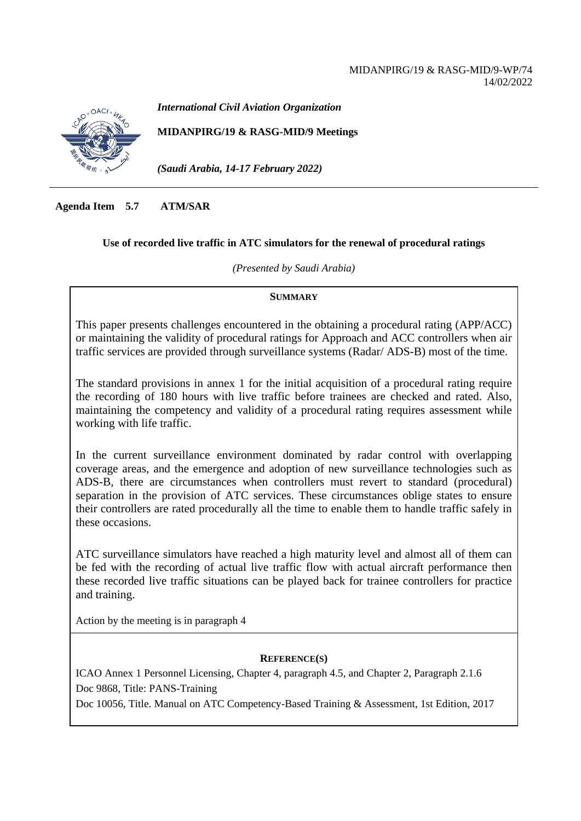#### MIDANPIRG/19 & RASG-MID/9-WP/74 14/02/2022



*International Civil Aviation Organization*

**MIDANPIRG/19 & RASG-MID/9 Meetings**

*(Saudi Arabia, 14-17 February 2022)*

**Agenda Item 5.7 ATM/SAR**

#### **Use of recorded live traffic in ATC simulators for the renewal of procedural ratings**

*(Presented by Saudi Arabia)*

#### **SUMMARY**

This paper presents challenges encountered in the obtaining a procedural rating (APP/ACC) or maintaining the validity of procedural ratings for Approach and ACC controllers when air traffic services are provided through surveillance systems (Radar/ ADS-B) most of the time.

The standard provisions in annex 1 for the initial acquisition of a procedural rating require the recording of 180 hours with live traffic before trainees are checked and rated. Also, maintaining the competency and validity of a procedural rating requires assessment while working with life traffic.

In the current surveillance environment dominated by radar control with overlapping coverage areas, and the emergence and adoption of new surveillance technologies such as ADS-B, there are circumstances when controllers must revert to standard (procedural) separation in the provision of ATC services. These circumstances oblige states to ensure their controllers are rated procedurally all the time to enable them to handle traffic safely in these occasions.

ATC surveillance simulators have reached a high maturity level and almost all of them can be fed with the recording of actual live traffic flow with actual aircraft performance then these recorded live traffic situations can be played back for trainee controllers for practice and training.

Action by the meeting is in paragraph 4

### **REFERENCE(S)**

ICAO Annex 1 Personnel Licensing, Chapter 4, paragraph 4.5, and Chapter 2, Paragraph 2.1.6 Doc 9868, Title: PANS-Training

Doc 10056, Title. Manual on ATC Competency-Based Training & Assessment, 1st Edition, 2017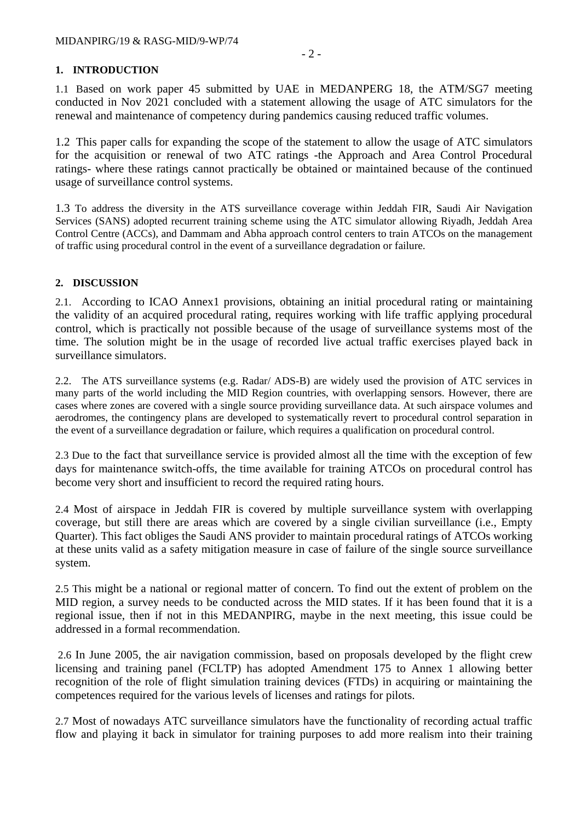## **1. INTRODUCTION**

1.1 Based on work paper 45 submitted by UAE in MEDANPERG 18, the ATM/SG7 meeting conducted in Nov 2021 concluded with a statement allowing the usage of ATC simulators for the renewal and maintenance of competency during pandemics causing reduced traffic volumes.

1.2 This paper calls for expanding the scope of the statement to allow the usage of ATC simulators for the acquisition or renewal of two ATC ratings -the Approach and Area Control Procedural ratings- where these ratings cannot practically be obtained or maintained because of the continued usage of surveillance control systems.

1.3 To address the diversity in the ATS surveillance coverage within Jeddah FIR, Saudi Air Navigation Services (SANS) adopted recurrent training scheme using the ATC simulator allowing Riyadh, Jeddah Area Control Centre (ACCs), and Dammam and Abha approach control centers to train ATCOs on the management of traffic using procedural control in the event of a surveillance degradation or failure.

## **2. DISCUSSION**

2.1. According to ICAO Annex1 provisions, obtaining an initial procedural rating or maintaining the validity of an acquired procedural rating, requires working with life traffic applying procedural control, which is practically not possible because of the usage of surveillance systems most of the time. The solution might be in the usage of recorded live actual traffic exercises played back in surveillance simulators.

2.2. The ATS surveillance systems (e.g. Radar/ ADS-B) are widely used the provision of ATC services in many parts of the world including the MID Region countries, with overlapping sensors. However, there are cases where zones are covered with a single source providing surveillance data. At such airspace volumes and aerodromes, the contingency plans are developed to systematically revert to procedural control separation in the event of a surveillance degradation or failure, which requires a qualification on procedural control.

2.3 Due to the fact that surveillance service is provided almost all the time with the exception of few days for maintenance switch-offs, the time available for training ATCOs on procedural control has become very short and insufficient to record the required rating hours.

2.4 Most of airspace in Jeddah FIR is covered by multiple surveillance system with overlapping coverage, but still there are areas which are covered by a single civilian surveillance (i.e., Empty Quarter). This fact obliges the Saudi ANS provider to maintain procedural ratings of ATCOs working at these units valid as a safety mitigation measure in case of failure of the single source surveillance system.

2.5 This might be a national or regional matter of concern. To find out the extent of problem on the MID region, a survey needs to be conducted across the MID states. If it has been found that it is a regional issue, then if not in this MEDANPIRG, maybe in the next meeting, this issue could be addressed in a formal recommendation.

2.6 In June 2005, the air navigation commission, based on proposals developed by the flight crew licensing and training panel (FCLTP) has adopted Amendment 175 to Annex 1 allowing better recognition of the role of flight simulation training devices (FTDs) in acquiring or maintaining the competences required for the various levels of licenses and ratings for pilots.

2.7 Most of nowadays ATC surveillance simulators have the functionality of recording actual traffic flow and playing it back in simulator for training purposes to add more realism into their training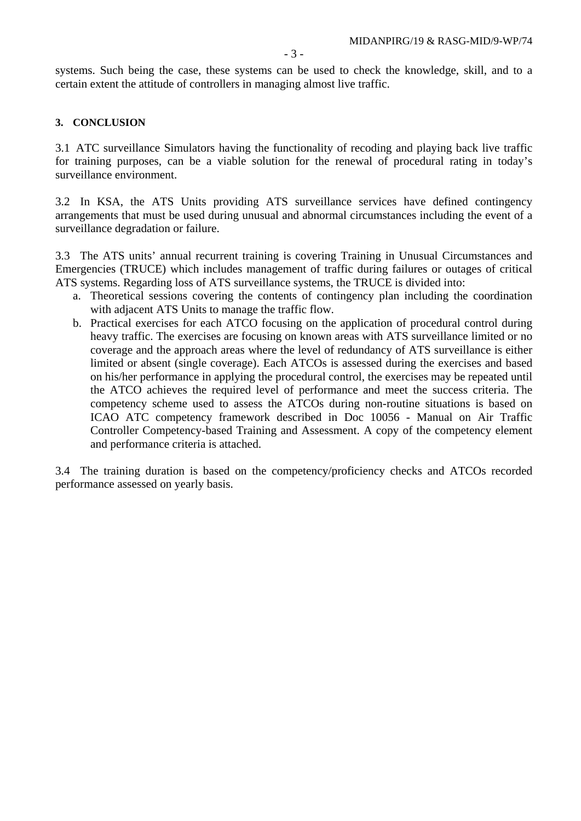systems. Such being the case, these systems can be used to check the knowledge, skill, and to a certain extent the attitude of controllers in managing almost live traffic.

#### **3. CONCLUSION**

3.1 ATC surveillance Simulators having the functionality of recoding and playing back live traffic for training purposes, can be a viable solution for the renewal of procedural rating in today's surveillance environment.

3.2 In KSA, the ATS Units providing ATS surveillance services have defined contingency arrangements that must be used during unusual and abnormal circumstances including the event of a surveillance degradation or failure.

3.3 The ATS units' annual recurrent training is covering Training in Unusual Circumstances and Emergencies (TRUCE) which includes management of traffic during failures or outages of critical ATS systems. Regarding loss of ATS surveillance systems, the TRUCE is divided into:

- a. Theoretical sessions covering the contents of contingency plan including the coordination with adjacent ATS Units to manage the traffic flow.
- b. Practical exercises for each ATCO focusing on the application of procedural control during heavy traffic. The exercises are focusing on known areas with ATS surveillance limited or no coverage and the approach areas where the level of redundancy of ATS surveillance is either limited or absent (single coverage). Each ATCOs is assessed during the exercises and based on his/her performance in applying the procedural control, the exercises may be repeated until the ATCO achieves the required level of performance and meet the success criteria. The competency scheme used to assess the ATCOs during non-routine situations is based on ICAO ATC competency framework described in Doc 10056 - Manual on Air Traffic Controller Competency-based Training and Assessment. A copy of the competency element and performance criteria is attached.

3.4 The training duration is based on the competency/proficiency checks and ATCOs recorded performance assessed on yearly basis.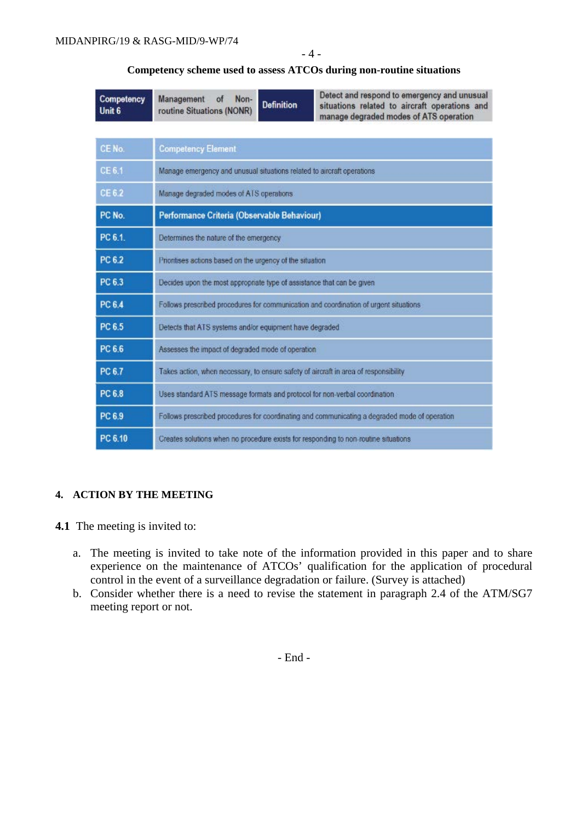## - 4 -

#### **Competency scheme used to assess ATCOs during non-routine situations**

| Competency<br>Unit 6 | Detect and respond to emergency and unusual<br>Management<br>Non-<br>of<br><b>Definition</b><br>situations related to aircraft operations and<br>routine Situations (NONR)<br>manage degraded modes of ATS operation |  |  |  |  |
|----------------------|----------------------------------------------------------------------------------------------------------------------------------------------------------------------------------------------------------------------|--|--|--|--|
|                      |                                                                                                                                                                                                                      |  |  |  |  |
| CE No.               | <b>Competency Element</b>                                                                                                                                                                                            |  |  |  |  |
| CE 6.1               | Manage emergency and unusual situations related to aircraft operations                                                                                                                                               |  |  |  |  |
| CE 6.2               | Manage degraded modes of ATS operations                                                                                                                                                                              |  |  |  |  |
| PC No.               | Performance Criteria (Observable Behaviour)                                                                                                                                                                          |  |  |  |  |
| PC 6.1.              | Determines the nature of the emergency                                                                                                                                                                               |  |  |  |  |
| <b>PC 6.2</b>        | Prioritises actions based on the urgency of the situation                                                                                                                                                            |  |  |  |  |
| PC 6.3               | Decides upon the most appropriate type of assistance that can be given                                                                                                                                               |  |  |  |  |
| PC 6.4               | Follows prescribed procedures for communication and coordination of urgent situations                                                                                                                                |  |  |  |  |
| PC 6.5               | Detects that ATS systems and/or equipment have degraded                                                                                                                                                              |  |  |  |  |
| PC 6.6               | Assesses the impact of degraded mode of operation                                                                                                                                                                    |  |  |  |  |
| <b>PC 6.7</b>        | Takes action, when necessary, to ensure safety of aircraft in area of responsibility                                                                                                                                 |  |  |  |  |
| <b>PC 6.8</b>        | Uses standard ATS message formats and protocol for non-verbal coordination                                                                                                                                           |  |  |  |  |
| PC 6.9               | Follows prescribed procedures for coordinating and communicating a degraded mode of operation                                                                                                                        |  |  |  |  |
| PC 6.10              | Creates solutions when no procedure exists for responding to non-routine situations                                                                                                                                  |  |  |  |  |

# **4. ACTION BY THE MEETING**

## **4.1** The meeting is invited to:

- a. The meeting is invited to take note of the information provided in this paper and to share experience on the maintenance of ATCOs' qualification for the application of procedural control in the event of a surveillance degradation or failure. (Survey is attached)
- b. Consider whether there is a need to revise the statement in paragraph 2.4 of the ATM/SG7 meeting report or not.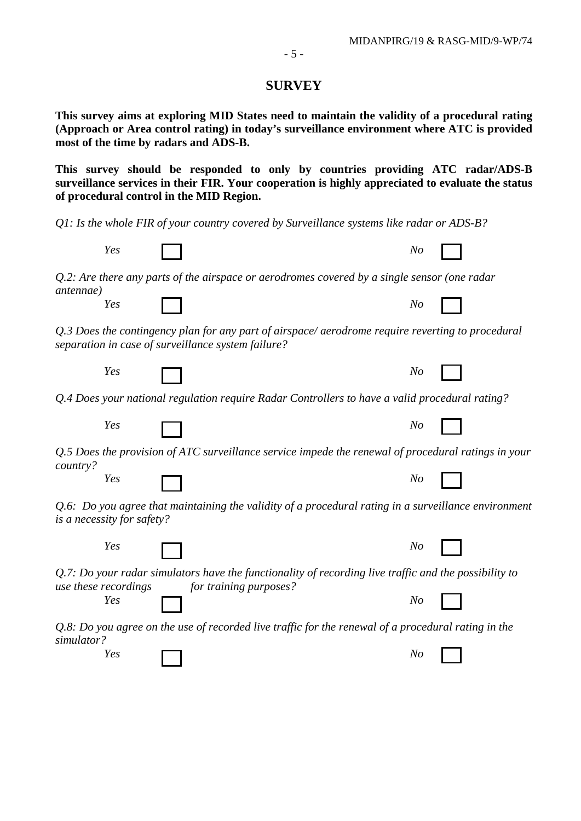## **SURVEY**

**This survey aims at exploring MID States need to maintain the validity of a procedural rating (Approach or Area control rating) in today's surveillance environment where ATC is provided most of the time by radars and ADS-B.**

**This survey should be responded to only by countries providing ATC radar/ADS-B surveillance services in their FIR. Your cooperation is highly appreciated to evaluate the status of procedural control in the MID Region.**

*Q1: Is the whole FIR of your country covered by Surveillance systems like radar or ADS-B?*

|                                                                                                                                                            | Yes |  | N <sub>O</sub> |  |  |  |
|------------------------------------------------------------------------------------------------------------------------------------------------------------|-----|--|----------------|--|--|--|
| $Q.2$ : Are there any parts of the airspace or aerodromes covered by a single sensor (one radar                                                            |     |  |                |  |  |  |
| <i>antennae</i> )                                                                                                                                          | Yes |  | No             |  |  |  |
| Q.3 Does the contingency plan for any part of airspace/aerodrome require reverting to procedural<br>separation in case of surveillance system failure?     |     |  |                |  |  |  |
|                                                                                                                                                            | Yes |  | No             |  |  |  |
| Q.4 Does your national regulation require Radar Controllers to have a valid procedural rating?                                                             |     |  |                |  |  |  |
|                                                                                                                                                            | Yes |  | No             |  |  |  |
| Q.5 Does the provision of ATC surveillance service impede the renewal of procedural ratings in your<br>country?                                            |     |  |                |  |  |  |
|                                                                                                                                                            | Yes |  | No             |  |  |  |
| Q.6: Do you agree that maintaining the validity of a procedural rating in a surveillance environment<br>is a necessity for safety?                         |     |  |                |  |  |  |
|                                                                                                                                                            | Yes |  | No             |  |  |  |
| $Q.7$ : Do your radar simulators have the functionality of recording live traffic and the possibility to<br>use these recordings<br>for training purposes? |     |  |                |  |  |  |
|                                                                                                                                                            | Yes |  | No             |  |  |  |
| $Q.8$ : Do you agree on the use of recorded live traffic for the renewal of a procedural rating in the<br>simulator?                                       |     |  |                |  |  |  |
|                                                                                                                                                            | Yes |  | No             |  |  |  |
|                                                                                                                                                            |     |  |                |  |  |  |